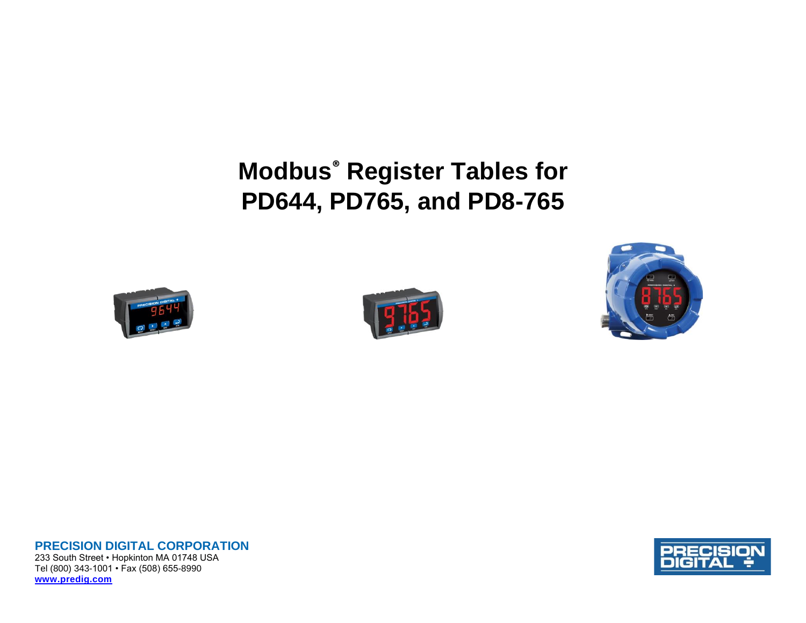**Modbus® Register Tables for PD644, PD765, and PD8-765**







**PRECISION DIGITAL CORPORATION** 233 South Street • Hopkinton MA 01748 USA Tel (800) 343-1001 • Fax (508) 655-8990 **[www.predig.com](http://www.predig.com/)**

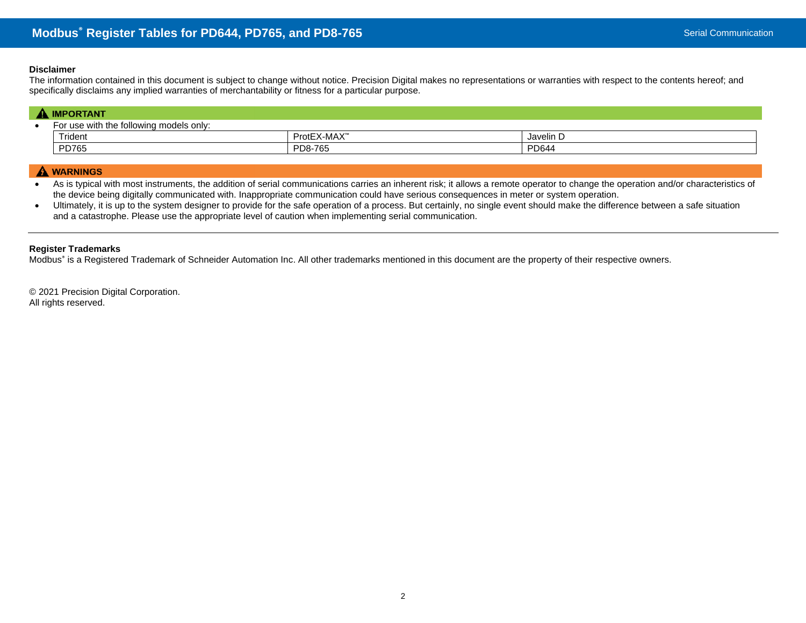### **Disclaimer**

The information contained in this document is subject to change without notice. Precision Digital makes no representations or warranties with respect to the contents hereof; and specifically disclaims any implied warranties of merchantability or fitness for a particular purpose.

| <b>IMPORTANT</b>                        |             |           |  |  |  |  |
|-----------------------------------------|-------------|-----------|--|--|--|--|
| For use with the following models only: |             |           |  |  |  |  |
| Trident                                 | ProtEX-MAX™ | Javelin D |  |  |  |  |
| PD765                                   | PD8-765     | PD644     |  |  |  |  |

## A WARNINGS

• As is typical with most instruments, the addition of serial communications carries an inherent risk; it allows a remote operator to change the operation and/or characteristics of the device being digitally communicated with. Inappropriate communication could have serious consequences in meter or system operation.

• Ultimately, it is up to the system designer to provide for the safe operation of a process. But certainly, no single event should make the difference between a safe situation and a catastrophe. Please use the appropriate level of caution when implementing serial communication.

### **Register Trademarks**

Modbus<sup>®</sup> is a Registered Trademark of Schneider Automation Inc. All other trademarks mentioned in this document are the property of their respective owners.

© 2021 Precision Digital Corporation. All rights reserved.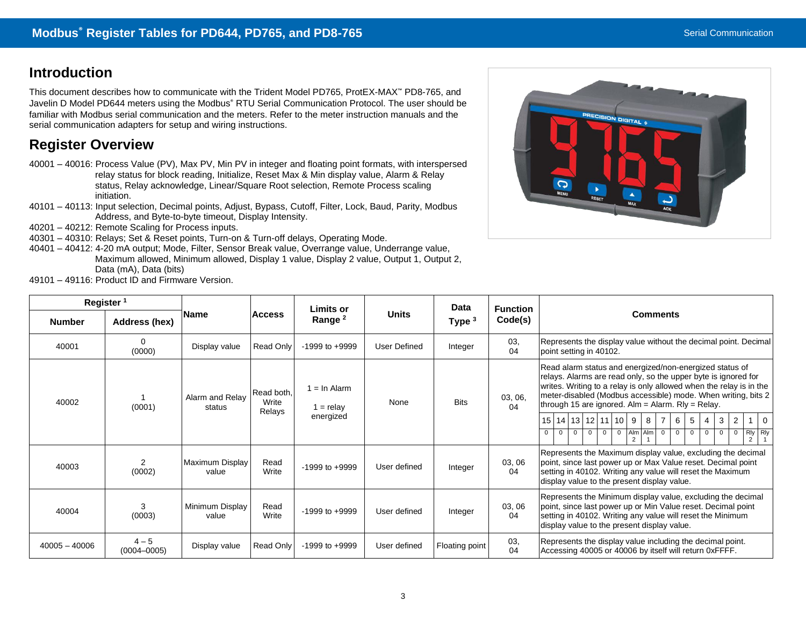# **Introduction**

This document describes how to communicate with the Trident Model PD765, ProtEX-MAX™ PD8-765, and Javelin D Model PD644 meters using the Modbus® RTU Serial Communication Protocol. The user should be familiar with Modbus serial communication and the meters. Refer to the meter instruction manuals and the serial communication adapters for setup and wiring instructions.

# **Register Overview**

- 40001 40016: Process Value (PV), Max PV, Min PV in integer and floating point formats, with interspersed relay status for block reading, Initialize, Reset Max & Min display value, Alarm & Relay status, Relay acknowledge, Linear/Square Root selection, Remote Process scaling initiation.
- 40101 40113: Input selection, Decimal points, Adjust, Bypass, Cutoff, Filter, Lock, Baud, Parity, Modbus Address, and Byte-to-byte timeout, Display Intensity.
- 40201 40212: Remote Scaling for Process inputs.
- 40301 40310: Relays; Set & Reset points, Turn-on & Turn-off delays, Operating Mode.
- 40401 40412: 4-20 mA output; Mode, Filter, Sensor Break value, Overrange value, Underrange value, Maximum allowed, Minimum allowed, Display 1 value, Display 2 value, Output 1, Output 2, Data (mA), Data (bits) 49101 – 49116: Product ID and Firmware Version.



| Register <sup>1</sup> |                            |                           |                                                     | <b>Limits or</b>                         |              | <b>Data</b>    | <b>Function</b> |                                                                                                                                                                                                                                                                                                                                                                                                                                                                                                                                                                                                                                                                                                                 |  |
|-----------------------|----------------------------|---------------------------|-----------------------------------------------------|------------------------------------------|--------------|----------------|-----------------|-----------------------------------------------------------------------------------------------------------------------------------------------------------------------------------------------------------------------------------------------------------------------------------------------------------------------------------------------------------------------------------------------------------------------------------------------------------------------------------------------------------------------------------------------------------------------------------------------------------------------------------------------------------------------------------------------------------------|--|
| <b>Number</b>         | Address (hex)              | <b>Name</b>               | <b>Units</b><br><b>Access</b><br>Range <sup>2</sup> |                                          | Type $3$     | Code(s)        | <b>Comments</b> |                                                                                                                                                                                                                                                                                                                                                                                                                                                                                                                                                                                                                                                                                                                 |  |
| 40001                 | $\Omega$<br>(0000)         | Display value             | Read Only                                           | $-1999$ to $+9999$                       | User Defined | Integer        | 03,<br>04       | Represents the display value without the decimal point. Decimal<br>point setting in 40102.                                                                                                                                                                                                                                                                                                                                                                                                                                                                                                                                                                                                                      |  |
| 40002                 | (0001)                     | Alarm and Relay<br>status | Read both,<br>Write<br>Relays                       | $=$ In Alarm<br>$1 =$ relay<br>energized | None         | <b>Bits</b>    | 03, 06,<br>04   | Read alarm status and energized/non-energized status of<br>relays. Alarms are read only, so the upper byte is ignored for<br>writes. Writing to a relay is only allowed when the relay is in the<br>meter-disabled (Modbus accessible) mode. When writing, bits 2<br>through 15 are ignored. $Alm = Alarm$ . Rly = Relay.<br>$13 \mid 12 \mid 11 \mid 10$<br>$15$ 14<br>6<br>9<br>8<br>$\overline{7}$<br>$\overline{2}$<br>$\Omega$<br>3<br>-5<br>Alm<br>$\begin{array}{c c}\nRly \\ 2 & 1\n\end{array}$<br>Alm<br>$\overline{0}$<br>$\overline{0}$<br>$\mathbf{0}$<br>$\mathbf{0}$<br>$\overline{0}$<br>0<br>$^{\circ}$<br>$\mathbf 0$<br>$\Omega$<br>$\mathbf{0}$<br>$\mathbf 0$<br>$\Omega$<br>$\mathcal{P}$ |  |
| 40003                 | 2<br>(0002)                | Maximum Display<br>value  | Read<br>Write                                       | $-1999$ to $+9999$                       | User defined | Integer        | 03, 06<br>04    | Represents the Maximum display value, excluding the decimal<br>point, since last power up or Max Value reset. Decimal point<br>setting in 40102. Writing any value will reset the Maximum<br>display value to the present display value.                                                                                                                                                                                                                                                                                                                                                                                                                                                                        |  |
| 40004                 | 3<br>(0003)                | Minimum Display<br>value  | Read<br>Write                                       | $-1999$ to $+9999$                       | User defined | Integer        | 03, 06<br>04    | Represents the Minimum display value, excluding the decimal<br>point, since last power up or Min Value reset. Decimal point<br>setting in 40102. Writing any value will reset the Minimum<br>display value to the present display value.                                                                                                                                                                                                                                                                                                                                                                                                                                                                        |  |
| $40005 - 40006$       | $4 - 5$<br>$(0004 - 0005)$ | Display value             | Read Only                                           | $-1999$ to $+9999$                       | User defined | Floating point | 03,<br>04       | Represents the display value including the decimal point.<br>Accessing 40005 or 40006 by itself will return 0xFFFF.                                                                                                                                                                                                                                                                                                                                                                                                                                                                                                                                                                                             |  |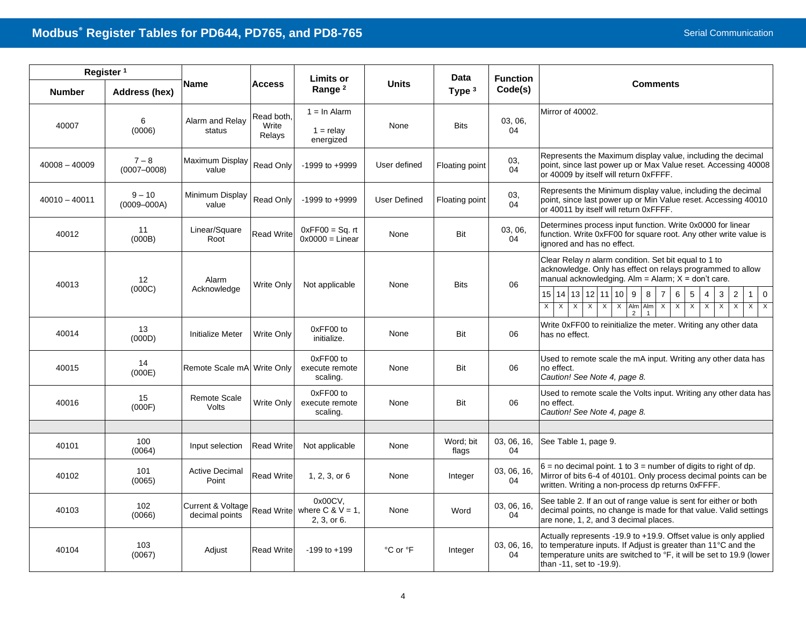| Register <sup>1</sup> |                             |                                     |                               | <b>Limits or</b>                                         |              | Data                  | <b>Function</b>   |                                                                                                                                                                                                                                                                                                                                                                                                                                                                                                                                                                                                           |
|-----------------------|-----------------------------|-------------------------------------|-------------------------------|----------------------------------------------------------|--------------|-----------------------|-------------------|-----------------------------------------------------------------------------------------------------------------------------------------------------------------------------------------------------------------------------------------------------------------------------------------------------------------------------------------------------------------------------------------------------------------------------------------------------------------------------------------------------------------------------------------------------------------------------------------------------------|
| <b>Number</b>         | Address (hex)               | Name                                | <b>Access</b>                 | Range <sup>2</sup>                                       | Units        | Type <sup>3</sup>     | Code(s)           | <b>Comments</b>                                                                                                                                                                                                                                                                                                                                                                                                                                                                                                                                                                                           |
| 40007                 | 6<br>(0006)                 | Alarm and Relay<br>status           | Read both.<br>Write<br>Relays | $1 = \ln$ Alarm<br>$1 =$ relay<br>energized              | None         | <b>Bits</b>           | 03, 06,<br>04     | Mirror of 40002.                                                                                                                                                                                                                                                                                                                                                                                                                                                                                                                                                                                          |
| $40008 - 40009$       | $7 - 8$<br>$(0007 - 0008)$  | Maximum Display<br>value            | Read Only                     | $-1999$ to $+9999$                                       | User defined | <b>Floating point</b> | 03,<br>04         | Represents the Maximum display value, including the decimal<br>point, since last power up or Max Value reset. Accessing 40008<br>or 40009 by itself will return 0xFFFF.                                                                                                                                                                                                                                                                                                                                                                                                                                   |
| $40010 - 40011$       | $9 - 10$<br>$(0009 - 000A)$ | Minimum Display<br>value            | <b>Read Only</b>              | $-1999$ to $+9999$                                       | User Defined | <b>Floating point</b> | 03.<br>04         | Represents the Minimum display value, including the decimal<br>point, since last power up or Min Value reset. Accessing 40010<br>or 40011 by itself will return 0xFFFF.                                                                                                                                                                                                                                                                                                                                                                                                                                   |
| 40012                 | 11<br>(000B)                | Linear/Square<br>Root               | <b>Read Write</b>             | $0xFF00 = Sq. rt$<br>$0x0000 =$ Linear                   | None         | Bit                   | 03, 06,<br>04     | Determines process input function. Write 0x0000 for linear<br>function. Write 0xFF00 for square root. Any other write value is<br>ignored and has no effect.                                                                                                                                                                                                                                                                                                                                                                                                                                              |
| 40013                 | 12<br>(000C)                | Alarm<br>Acknowledge                | Write Only                    | Not applicable                                           | None         | <b>Bits</b>           | 06                | Clear Relay n alarm condition. Set bit equal to 1 to<br>acknowledge. Only has effect on relays programmed to allow<br>manual acknowledging. Alm = Alarm; $X =$ don't care.<br>14 13 12 11 10 9<br>8<br>15 <sup>1</sup><br>$\overline{7}$<br>6<br>5<br>3<br>$\overline{2}$<br>$\mathbf 0$<br>4<br>$\overline{X}$<br>$\overline{X}$<br>$\overline{X}$<br>$\overline{X}$<br>$\overline{\mathsf{x}}$<br>Alm Alm<br>$\overline{X}$<br>$\mathsf{x}$<br>$\overline{\mathsf{x}}$<br>$\overline{\mathsf{x}}$<br>$\overline{X}$<br>$\overline{\mathsf{x}}$<br>$\overline{X}$<br>$\overline{\mathsf{x}}$<br>$\times$ |
| 40014                 | 13<br>(000D)                | <b>Initialize Meter</b>             | Write Only                    | 0xFF00 to<br>initialize.                                 | None         | Bit                   | 06                | Write 0xFF00 to reinitialize the meter. Writing any other data<br>has no effect.                                                                                                                                                                                                                                                                                                                                                                                                                                                                                                                          |
| 40015                 | 14<br>(000E)                | Remote Scale mA Write Only          |                               | 0xFF00 to<br>execute remote<br>scaling.                  | None         | Bit                   | 06                | Used to remote scale the mA input. Writing any other data has<br>no effect.<br>Caution! See Note 4, page 8.                                                                                                                                                                                                                                                                                                                                                                                                                                                                                               |
| 40016                 | 15<br>(000F)                | Remote Scale<br><b>Volts</b>        | Write Only                    | 0xFF00 to<br>execute remote<br>scaling.                  | None         | Bit                   | 06                | Used to remote scale the Volts input. Writing any other data has<br>no effect.<br>Caution! See Note 4, page 8.                                                                                                                                                                                                                                                                                                                                                                                                                                                                                            |
|                       |                             |                                     |                               |                                                          |              |                       |                   |                                                                                                                                                                                                                                                                                                                                                                                                                                                                                                                                                                                                           |
| 40101                 | 100<br>(0064)               | Input selection                     | <b>Read Write</b>             | Not applicable                                           | None         | Word; bit<br>flags    | 03, 06, 16,<br>04 | See Table 1, page 9.                                                                                                                                                                                                                                                                                                                                                                                                                                                                                                                                                                                      |
| 40102                 | 101<br>(0065)               | <b>Active Decimal</b><br>Point      | Read Write                    | 1, 2, 3, or 6                                            | None         | Integer               | 03, 06, 16,<br>04 | $6 =$ no decimal point. 1 to $3 =$ number of digits to right of dp.<br>Mirror of bits 6-4 of 40101. Only process decimal points can be<br>written. Writing a non-process dp returns 0xFFFF.                                                                                                                                                                                                                                                                                                                                                                                                               |
| 40103                 | 102<br>(0066)               | Current & Voltage<br>decimal points |                               | 0x00CV,<br>Read Write where $C & V = 1$ ,<br>2, 3, or 6. | None         | Word                  | 03, 06, 16,<br>04 | See table 2. If an out of range value is sent for either or both<br>decimal points, no change is made for that value. Valid settings<br>are none, 1, 2, and 3 decimal places.                                                                                                                                                                                                                                                                                                                                                                                                                             |
| 40104                 | 103<br>(0067)               | Adjust                              | <b>Read Write</b>             | $-199$ to $+199$                                         | °C or °F     | Integer               | 03, 06, 16,<br>04 | Actually represents -19.9 to +19.9. Offset value is only applied<br>to temperature inputs. If Adjust is greater than 11°C and the<br>temperature units are switched to <sup>o</sup> F, it will be set to 19.9 (lower<br>than -11, set to -19.9).                                                                                                                                                                                                                                                                                                                                                          |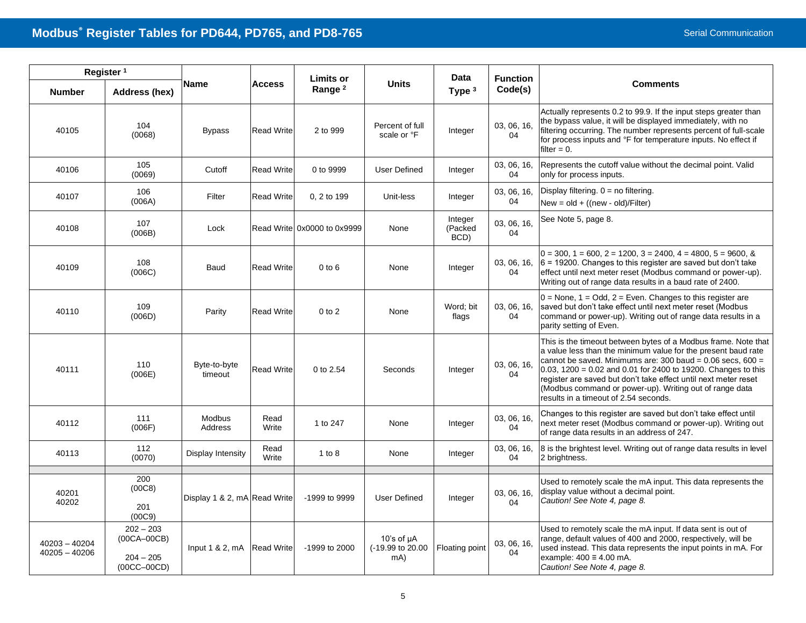| Register <sup>1</sup>          |                                                              |                              |                   | <b>Limits or</b>            |                                            | <b>Data</b>                | <b>Function</b>   |                                                                                                                                                                                                                                                                                                                                                                                                                                         |
|--------------------------------|--------------------------------------------------------------|------------------------------|-------------------|-----------------------------|--------------------------------------------|----------------------------|-------------------|-----------------------------------------------------------------------------------------------------------------------------------------------------------------------------------------------------------------------------------------------------------------------------------------------------------------------------------------------------------------------------------------------------------------------------------------|
| <b>Number</b>                  | Address (hex)                                                | <b>Name</b>                  | <b>Access</b>     | Range <sup>2</sup>          | <b>Units</b>                               | Type $3$                   | Code(s)           | <b>Comments</b>                                                                                                                                                                                                                                                                                                                                                                                                                         |
| 40105                          | 104<br>(0068)                                                | <b>Bypass</b>                | <b>Read Write</b> | 2 to 999                    | Percent of full<br>scale or °F             | Integer                    | 03, 06, 16,<br>04 | Actually represents 0.2 to 99.9. If the input steps greater than<br>the bypass value, it will be displayed immediately, with no<br>filtering occurring. The number represents percent of full-scale<br>for process inputs and °F for temperature inputs. No effect if<br>filter $= 0$ .                                                                                                                                                 |
| 40106                          | 105<br>(0069)                                                | Cutoff                       | <b>Read Write</b> | 0 to 9999                   | User Defined                               | Integer                    | 03, 06, 16,<br>04 | Represents the cutoff value without the decimal point. Valid<br>only for process inputs.                                                                                                                                                                                                                                                                                                                                                |
| 40107                          | 106<br>(006A)                                                | Filter                       | <b>Read Write</b> | 0, 2 to 199                 | Unit-less                                  | Integer                    | 03, 06, 16,<br>04 | Display filtering. $0 =$ no filtering.<br>$New = old + ((new - old)/Filter)$                                                                                                                                                                                                                                                                                                                                                            |
| 40108                          | 107<br>(006B)                                                | Lock                         |                   | Read Write 0x0000 to 0x9999 | None                                       | Integer<br>(Packed<br>BCD) | 03, 06, 16,<br>04 | See Note 5, page 8.                                                                                                                                                                                                                                                                                                                                                                                                                     |
| 40109                          | 108<br>(006C)                                                | Baud                         | <b>Read Write</b> | $0$ to $6$                  | None                                       | Integer                    | 03, 06, 16,<br>04 | $0 = 300$ , $1 = 600$ , $2 = 1200$ , $3 = 2400$ , $4 = 4800$ , $5 = 9600$ , &<br>$6 = 19200$ . Changes to this register are saved but don't take<br>effect until next meter reset (Modbus command or power-up).<br>Writing out of range data results in a baud rate of 2400.                                                                                                                                                            |
| 40110                          | 109<br>(006D)                                                | Parity                       | <b>Read Write</b> | $0$ to $2$                  | None                                       | Word; bit<br>flags         | 03, 06, 16,<br>04 | $0 =$ None, 1 = Odd, 2 = Even. Changes to this register are<br>saved but don't take effect until next meter reset (Modbus<br>command or power-up). Writing out of range data results in a<br>parity setting of Even.                                                                                                                                                                                                                    |
| 40111                          | 110<br>(006E)                                                | Byte-to-byte<br>timeout      | <b>Read Write</b> | 0 to 2.54                   | Seconds                                    | Integer                    | 03, 06, 16,<br>04 | This is the timeout between bytes of a Modbus frame. Note that<br>a value less than the minimum value for the present baud rate<br>cannot be saved. Minimums are: 300 baud = $0.06$ secs, 600 =<br>0.03, 1200 = 0.02 and 0.01 for 2400 to 19200. Changes to this<br>register are saved but don't take effect until next meter reset<br>(Modbus command or power-up). Writing out of range data<br>results in a timeout of 2.54 seconds. |
| 40112                          | 111<br>(006F)                                                | Modbus<br>Address            | Read<br>Write     | 1 to 247                    | None                                       | Integer                    | 03, 06, 16,<br>04 | Changes to this register are saved but don't take effect until<br>next meter reset (Modbus command or power-up). Writing out<br>of range data results in an address of 247.                                                                                                                                                                                                                                                             |
| 40113                          | 112<br>(0070)                                                | Display Intensity            | Read<br>Write     | 1 to $8$                    | None                                       | Integer                    | 03, 06, 16,<br>04 | 8 is the brightest level. Writing out of range data results in level<br>2 brightness.                                                                                                                                                                                                                                                                                                                                                   |
| 40201<br>40202                 | 200<br>(00C8)<br>201<br>(00C9)                               | Display 1 & 2, mA Read Write |                   | -1999 to 9999               | <b>User Defined</b>                        | Integer                    | 03, 06, 16,<br>04 | Used to remotely scale the mA input. This data represents the<br>display value without a decimal point.<br>Caution! See Note 4, page 8.                                                                                                                                                                                                                                                                                                 |
| 40203 - 40204<br>40205 - 40206 | $202 - 203$<br>$(00CA-00CB)$<br>$204 - 205$<br>$(00CC-00CD)$ | Input 1 & 2, mA Read Write   |                   | -1999 to 2000               | 10's of $\mu$ A<br>(-19.99 to 20.00<br>mA) | Floating point             | 03, 06, 16,<br>04 | Used to remotely scale the mA input. If data sent is out of<br>range, default values of 400 and 2000, respectively, will be<br>used instead. This data represents the input points in mA. For<br>example: $400 \equiv 4.00$ mA.<br>Caution! See Note 4, page 8.                                                                                                                                                                         |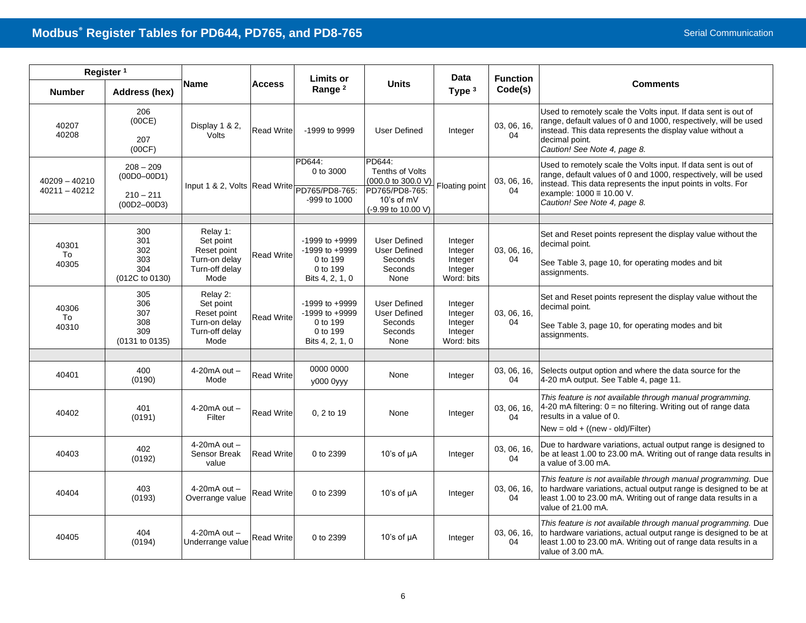| Register <sup>1</sup>              |                                                                  |                                                                                 | Limits or         |                                                                                     | Data                                                                                                      |                                                        | <b>Function</b>   |                                                                                                                                                                                                                                                                      |
|------------------------------------|------------------------------------------------------------------|---------------------------------------------------------------------------------|-------------------|-------------------------------------------------------------------------------------|-----------------------------------------------------------------------------------------------------------|--------------------------------------------------------|-------------------|----------------------------------------------------------------------------------------------------------------------------------------------------------------------------------------------------------------------------------------------------------------------|
| <b>Number</b>                      | Address (hex)                                                    | <b>Name</b>                                                                     | <b>Access</b>     | Range <sup>2</sup>                                                                  | <b>Units</b>                                                                                              | Type <sup>3</sup>                                      | Code(s)           | <b>Comments</b>                                                                                                                                                                                                                                                      |
| 40207<br>40208                     | 206<br>(00CE)<br>207<br>(00CF)                                   | Display 1 & 2,<br>Volts                                                         | <b>Read Write</b> | -1999 to 9999                                                                       | User Defined                                                                                              | Integer                                                | 03, 06, 16,<br>04 | Used to remotely scale the Volts input. If data sent is out of<br>range, default values of 0 and 1000, respectively, will be used<br>instead. This data represents the display value without a<br>decimal point.<br>Caution! See Note 4, page 8.                     |
| $40209 - 40210$<br>$40211 - 40212$ | $208 - 209$<br>$(00D0 - 00D1)$<br>$210 - 211$<br>$(00D2 - 00D3)$ | Input 1 & 2, Volts Read Write PD765/PD8-765:                                    |                   | PD644:<br>0 to 3000<br>$-999$ to $1000$                                             | PD644:<br>Tenths of Volts<br>(000.0 to 300.0 V)<br>PD765/PD8-765:<br>$10's$ of $mV$<br>(-9.99 to 10.00 V) | Floating point                                         | 03, 06, 16,<br>04 | Used to remotely scale the Volts input. If data sent is out of<br>range, default values of 0 and 1000, respectively, will be used<br>instead. This data represents the input points in volts. For<br>example: $1000 \equiv 10.00$ V.<br>Caution! See Note 4, page 8. |
|                                    |                                                                  |                                                                                 |                   |                                                                                     |                                                                                                           |                                                        |                   |                                                                                                                                                                                                                                                                      |
| 40301<br>To<br>40305               | 300<br>301<br>302<br>303<br>304                                  | Relay 1:<br>Set point<br>Reset point<br>Turn-on delay<br>Turn-off delav         | <b>Read Write</b> | $-1999$ to $+9999$<br>$-1999$ to $+9999$<br>0 to 199<br>0 to 199                    | <b>User Defined</b><br><b>User Defined</b><br>Seconds<br>Seconds                                          | Integer<br>Integer<br>Integer<br>Integer               | 03, 06, 16,<br>04 | Set and Reset points represent the display value without the<br>decimal point.<br>See Table 3, page 10, for operating modes and bit<br>assignments.                                                                                                                  |
|                                    | (012C to 0130)                                                   | Mode                                                                            |                   | Bits 4, 2, 1, 0                                                                     | None                                                                                                      | Word: bits                                             |                   |                                                                                                                                                                                                                                                                      |
| 40306<br>To<br>40310               | 305<br>306<br>307<br>308<br>309<br>(0131 to 0135)                | Relay 2:<br>Set point<br>Reset point<br>Turn-on delay<br>Turn-off delay<br>Mode | <b>Read Write</b> | $-1999$ to $+9999$<br>$-1999$ to $+9999$<br>0 to 199<br>0 to 199<br>Bits 4, 2, 1, 0 | <b>User Defined</b><br><b>User Defined</b><br>Seconds<br>Seconds<br>None                                  | Integer<br>Integer<br>Integer<br>Integer<br>Word: bits | 03, 06, 16,<br>04 | Set and Reset points represent the display value without the<br>decimal point.<br>See Table 3, page 10, for operating modes and bit<br>assignments.                                                                                                                  |
|                                    |                                                                  |                                                                                 |                   |                                                                                     |                                                                                                           |                                                        |                   |                                                                                                                                                                                                                                                                      |
| 40401                              | 400<br>(0190)                                                    | $4-20mA$ out $-$<br>Mode                                                        | <b>Read Write</b> | 0000 0000<br>y000 0yyy                                                              | None                                                                                                      | Integer                                                | 03, 06, 16,<br>04 | Selects output option and where the data source for the<br>4-20 mA output. See Table 4, page 11.                                                                                                                                                                     |
| 40402                              | 401<br>(0191)                                                    | $4-20mA$ out $-$<br>Filter                                                      | <b>Read Write</b> | 0.2 to 19                                                                           | None                                                                                                      | Integer                                                | 03, 06, 16,<br>04 | This feature is not available through manual programming.<br>4-20 mA filtering: 0 = no filtering. Writing out of range data<br>results in a value of 0.                                                                                                              |
|                                    |                                                                  |                                                                                 |                   |                                                                                     |                                                                                                           |                                                        |                   | $New = old + ((new - old)/Filter)$                                                                                                                                                                                                                                   |
| 40403                              | 402<br>(0192)                                                    | $4-20mA$ out $-$<br>Sensor Break<br>value                                       | <b>Read Write</b> | 0 to 2399                                                                           | 10's of $\mu$ A                                                                                           | Integer                                                | 03, 06, 16,<br>04 | Due to hardware variations, actual output range is designed to<br>be at least 1.00 to 23.00 mA. Writing out of range data results in<br>a value of 3.00 mA.                                                                                                          |
| 40404                              | 403<br>(0193)                                                    | $4-20mA$ out $-$<br>Overrange value                                             | <b>Read Write</b> | 0 to 2399                                                                           | 10's of $\mu$ A                                                                                           | Integer                                                | 03, 06, 16,<br>04 | This feature is not available through manual programming. Due<br>to hardware variations, actual output range is designed to be at<br>least 1.00 to 23.00 mA. Writing out of range data results in a<br>value of 21.00 mA.                                            |
| 40405                              | 404<br>(0194)                                                    | 4-20 $mA$ out $-$<br>Underrange value                                           | <b>Read Write</b> | 0 to 2399                                                                           | 10's of $\mu$ A                                                                                           | Integer                                                | 03, 06, 16,<br>04 | This feature is not available through manual programming. Due<br>to hardware variations, actual output range is designed to be at<br>least 1.00 to 23.00 mA. Writing out of range data results in a<br>value of 3.00 mA.                                             |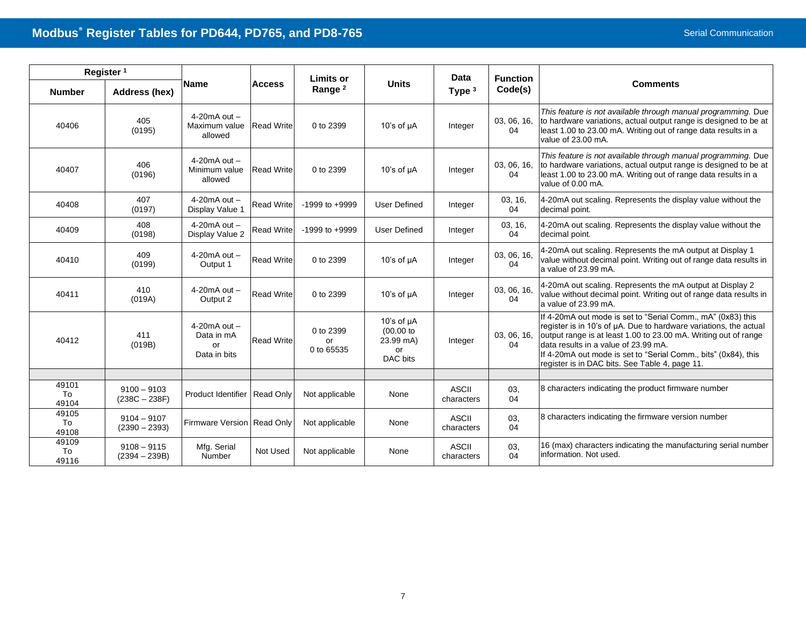| Register <sup>1</sup> |                                  |                                                      |                   | <b>Limits or</b>              |                                                                | <b>Data</b>                | <b>Function</b>   |                                                                                                                                                                                                                                                                                                                                                                 |
|-----------------------|----------------------------------|------------------------------------------------------|-------------------|-------------------------------|----------------------------------------------------------------|----------------------------|-------------------|-----------------------------------------------------------------------------------------------------------------------------------------------------------------------------------------------------------------------------------------------------------------------------------------------------------------------------------------------------------------|
| <b>Number</b>         | Address (hex)                    | <b>Name</b>                                          | <b>Access</b>     | Range <sup>2</sup>            | <b>Units</b>                                                   | Type $3$                   | Code(s)           | <b>Comments</b>                                                                                                                                                                                                                                                                                                                                                 |
| 40406                 | 405<br>(0195)                    | $4-20mA$ out $-$<br>Maximum value<br>allowed         | <b>Read Write</b> | 0 to 2399                     | 10's of $\mu$ A                                                | Integer                    | 03, 06, 16,<br>04 | This feature is not available through manual programming. Due<br>to hardware variations, actual output range is designed to be at<br>least 1.00 to 23.00 mA. Writing out of range data results in a<br>value of 23.00 mA.                                                                                                                                       |
| 40407                 | 406<br>(0196)                    | $4-20mA$ out $-$<br>Minimum value<br>allowed         | <b>Read Write</b> | 0 to 2399                     | 10's of $\mu$ A                                                | Integer                    | 03, 06, 16,<br>04 | This feature is not available through manual programming. Due<br>to hardware variations, actual output range is designed to be at<br>least 1.00 to 23.00 mA. Writing out of range data results in a<br>value of 0.00 mA.                                                                                                                                        |
| 40408                 | 407<br>(0197)                    | $4-20mA$ out $-$<br>Display Value 1                  | <b>Read Write</b> | $-1999$ to $+9999$            | User Defined                                                   | Integer                    | 03, 16,<br>04     | 4-20mA out scaling. Represents the display value without the<br>decimal point.                                                                                                                                                                                                                                                                                  |
| 40409                 | 408<br>(0198)                    | $4-20$ m $A$ out $-$<br>Display Value 2              | <b>Read Write</b> | $-1999$ to $+9999$            | <b>User Defined</b>                                            | Integer                    | 03, 16,<br>04     | 4-20mA out scaling. Represents the display value without the<br>decimal point.                                                                                                                                                                                                                                                                                  |
| 40410                 | 409<br>(0199)                    | $4-20mA$ out $-$<br>Output 1                         | <b>Read Write</b> | 0 to 2399                     | 10's of $\mu$ A                                                | Integer                    | 03, 06, 16,<br>04 | 4-20mA out scaling. Represents the mA output at Display 1<br>value without decimal point. Writing out of range data results in<br>a value of 23.99 mA.                                                                                                                                                                                                          |
| 40411                 | 410<br>(019A)                    | $4-20mA$ out $-$<br>Output 2                         | <b>Read Write</b> | 0 to 2399                     | 10's of $\mu$ A                                                | Integer                    | 03, 06, 16,<br>04 | 4-20mA out scaling. Represents the mA output at Display 2<br>value without decimal point. Writing out of range data results in<br>a value of 23.99 mA.                                                                                                                                                                                                          |
| 40412                 | 411<br>(019B)                    | $4-20mA$ out $-$<br>Data in mA<br>or<br>Data in bits | <b>Read Write</b> | 0 to 2399<br>or<br>0 to 65535 | 10's of $\mu$ A<br>$(00.00)$ to<br>23.99 mA)<br>or<br>DAC bits | Integer                    | 03, 06, 16,<br>04 | If 4-20mA out mode is set to "Serial Comm., mA" (0x83) this<br>register is in 10's of µA. Due to hardware variations, the actual<br>output range is at least 1.00 to 23.00 mA. Writing out of range<br>data results in a value of 23.99 mA.<br>If 4-20mA out mode is set to "Serial Comm., bits" (0x84), this<br>register is in DAC bits. See Table 4, page 11. |
|                       |                                  |                                                      |                   |                               |                                                                |                            |                   |                                                                                                                                                                                                                                                                                                                                                                 |
| 49101<br>To<br>49104  | $9100 - 9103$<br>$(238C - 238F)$ | Product Identifier                                   | <b>Read Only</b>  | Not applicable                | None                                                           | <b>ASCII</b><br>characters | 03.<br>04         | 8 characters indicating the product firmware number                                                                                                                                                                                                                                                                                                             |
| 49105<br>To<br>49108  | $9104 - 9107$<br>$(2390 - 2393)$ | Firmware Version Read Only                           |                   | Not applicable                | None                                                           | <b>ASCII</b><br>characters | 03,<br>04         | 8 characters indicating the firmware version number                                                                                                                                                                                                                                                                                                             |
| 49109<br>To<br>49116  | $9108 - 9115$<br>$(2394 - 239B)$ | Mfg. Serial<br>Number                                | Not Used          | Not applicable                | None                                                           | <b>ASCII</b><br>characters | 03,<br>04         | 16 (max) characters indicating the manufacturing serial number<br>information. Not used.                                                                                                                                                                                                                                                                        |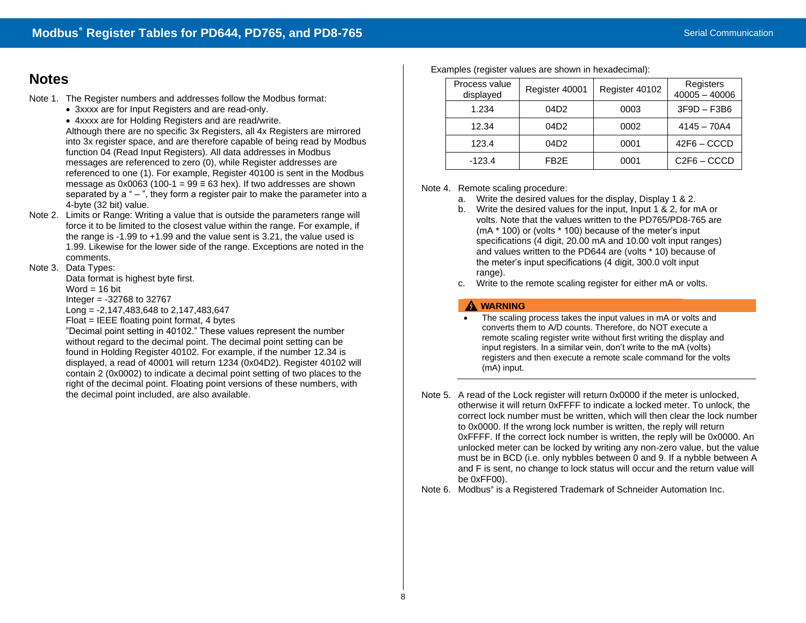# **Notes**

- Note 1. The Register numbers and addresses follow the Modbus format:
	- 3xxxx are for Input Registers and are read-only.
	- 4xxxx are for Holding Registers and are read/write.

Although there are no specific 3x Registers, all 4x Registers are mirrored into 3x register space, and are therefore capable of being read by Modbus function 04 (Read Input Registers). All data addresses in Modbus messages are referenced to zero (0), while Register addresses are referenced to one (1). For example, Register 40100 is sent in the Modbus message as 0x0063 (100-1 =  $99 \equiv 63$  hex). If two addresses are shown separated by  $a^* - "$ , they form a register pair to make the parameter into a 4-byte (32 bit) value.

Note 2. Limits or Range: Writing a value that is outside the parameters range will force it to be limited to the closest value within the range. For example, if the range is -1.99 to +1.99 and the value sent is 3.21, the value used is 1.99. Likewise for the lower side of the range. Exceptions are noted in the comments.

## Note 3. Data Types:

Data format is highest byte first.

Word  $= 16$  bit

Integer = -32768 to 32767

Long = -2,147,483,648 to 2,147,483,647

Float = IEEE floating point format, 4 bytes

"Decimal point setting in 40102." These values represent the number without regard to the decimal point. The decimal point setting can be found in Holding Register 40102. For example, if the number 12.34 is displayed, a read of 40001 will return 1234 (0x04D2). Register 40102 will contain 2 (0x0002) to indicate a decimal point setting of two places to the right of the decimal point. Floating point versions of these numbers, with the decimal point included, are also available.

| Process value<br>displayed | Register 40001    | Register 40102 | Registers<br>$40005 - 40006$ |
|----------------------------|-------------------|----------------|------------------------------|
| 1.234                      | 04D <sub>2</sub>  | 0003           | $3F9D - F3B6$                |
| 12.34                      | 04D <sub>2</sub>  | 0002           | $4145 - 70A4$                |
| 123.4                      | 04D <sub>2</sub>  | 0001           | $42F6 - CCCD$                |
| $-123.4$                   | FB <sub>2</sub> F | 0001           | C <sub>2F6</sub> – CCCD      |

Examples (register values are shown in hexadecimal):

<span id="page-7-0"></span>Note 4. Remote scaling procedure:

- a. Write the desired values for the display, Display 1 & 2.
- b. Write the desired values for the input, Input 1 & 2, for mA or volts. Note that the values written to the PD765/PD8-765 are (mA \* 100) or (volts \* 100) because of the meter's input specifications (4 digit, 20.00 mA and 10.00 volt input ranges) and values written to the PD644 are (volts \* 10) because of the meter's input specifications (4 digit, 300.0 volt input range).
- c. Write to the remote scaling register for either mA or volts.

# A WARNING

- The scaling process takes the input values in mA or volts and converts them to A/D counts. Therefore, do NOT execute a remote scaling register write without first writing the display and input registers. In a similar vein, don't write to the mA (volts) registers and then execute a remote scale command for the volts (mA) input.
- <span id="page-7-1"></span>Note 5. A read of the Lock register will return 0x0000 if the meter is unlocked, otherwise it will return 0xFFFF to indicate a locked meter. To unlock, the correct lock number must be written, which will then clear the lock number to 0x0000. If the wrong lock number is written, the reply will return 0xFFFF. If the correct lock number is written, the reply will be 0x0000. An unlocked meter can be locked by writing any non-zero value, but the value must be in BCD (i.e. only nybbles between 0 and 9. If a nybble between A and F is sent, no change to lock status will occur and the return value will be 0xFF00).

Note 6. Modbus<sup>®</sup> is a Registered Trademark of Schneider Automation Inc.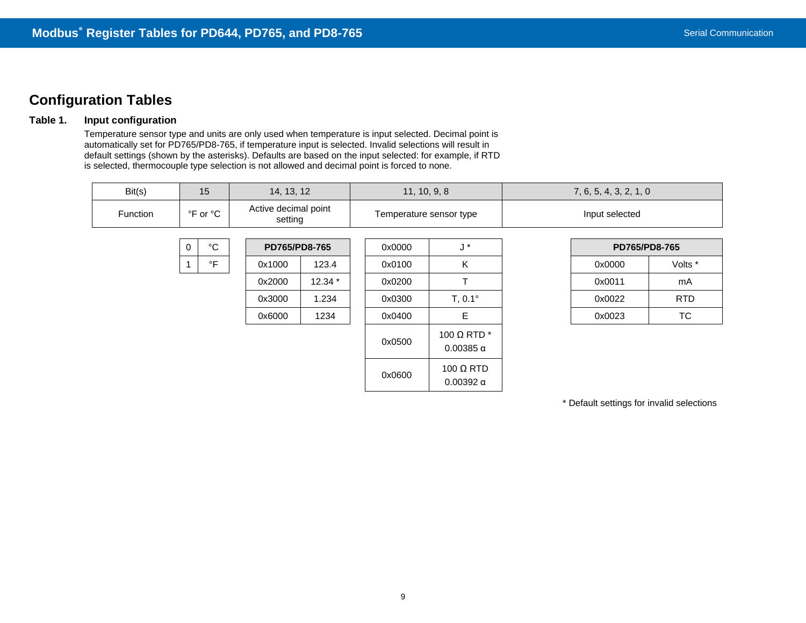# **Configuration Tables**

# <span id="page-8-0"></span>**Table 1. Input configuration**

Temperature sensor type and units are only used when temperature is input selected. Decimal point is automatically set for PD765/PD8-765, if temperature input is selected. Invalid selections will result in default settings (shown by the asterisks). Defaults are based on the input selected: for example, if RTD is selected, thermocouple type selection is not allowed and decimal point is forced to none.

| Bit(s)<br>15 |                            | 14, 13, 12 |                                 |          | 11, 10, 9, 8 |                                           | 7, 6, 5, 4, 3, 2, 1, 0 |                |            |
|--------------|----------------------------|------------|---------------------------------|----------|--------------|-------------------------------------------|------------------------|----------------|------------|
| Function     | °F or °C                   |            | Active decimal point<br>setting |          |              | Temperature sensor type                   |                        | Input selected |            |
|              | $^{\circ}C$<br>$\mathbf 0$ |            | PD765/PD8-765                   |          | 0x0000       | $J^*$                                     |                        | PD765/PD8-765  |            |
|              |                            | $\circ$ F  | 0x1000                          | 123.4    | 0x0100       | Κ                                         |                        | 0x0000         | Volts *    |
|              |                            |            | 0x2000                          | $12.34*$ | 0x0200       | T.                                        |                        | 0x0011         | mA         |
|              |                            |            | 0x3000                          | 1.234    | 0x0300       | $T, 0.1^{\circ}$                          |                        | 0x0022         | <b>RTD</b> |
|              |                            |            | 0x6000                          | 1234     | 0x0400       | Е                                         |                        | 0x0023         | TC         |
|              |                            |            |                                 |          | 0x0500       | 100 $\Omega$ RTD $^*$<br>$0.00385 \alpha$ |                        |                |            |
|              |                            |            |                                 |          | 0x0600       | 100 $\Omega$ RTD<br>$0.00392 \alpha$      |                        |                |            |

\* Default settings for invalid selections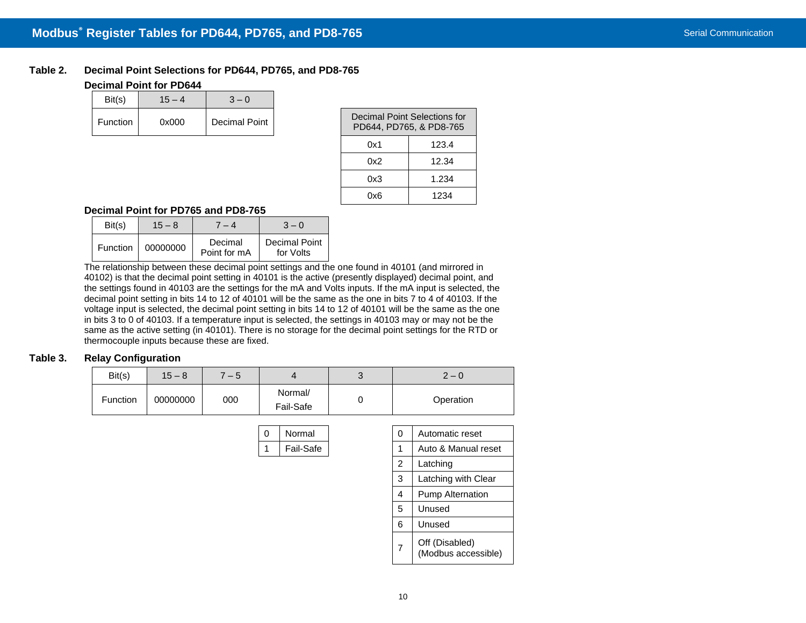## **Table 2. Decimal Point Selections for PD644, PD765, and PD8-765 Decimal Point for PD644**

| Bit(s)          | $15 - 4$ | $3 - 0$       |
|-----------------|----------|---------------|
| <b>Function</b> | 0x000    | Decimal Point |
|                 |          |               |

| Decimal Point Selections for<br>PD644, PD765, & PD8-765 |       |  |  |  |  |
|---------------------------------------------------------|-------|--|--|--|--|
| 0x1                                                     | 123.4 |  |  |  |  |
| 0x2                                                     | 12.34 |  |  |  |  |
| 0x3                                                     | 1.234 |  |  |  |  |
| nx6                                                     | 1234  |  |  |  |  |

# **Decimal Point for PD765 and PD8-765**

| Bit(s)   | $15 - 8$ | $-4$                    | $3 - 0$                    |
|----------|----------|-------------------------|----------------------------|
| Function | 00000000 | Decimal<br>Point for mA | Decimal Point<br>for Volts |

The relationship between these decimal point settings and the one found in 40101 (and mirrored in 40102) is that the decimal point setting in 40101 is the active (presently displayed) decimal point, and the settings found in 40103 are the settings for the mA and Volts inputs. If the mA input is selected, the decimal point setting in bits 14 to 12 of 40101 will be the same as the one in bits 7 to 4 of 40103. If the voltage input is selected, the decimal point setting in bits 14 to 12 of 40101 will be the same as the one in bits 3 to 0 of 40103. If a temperature input is selected, the settings in 40103 may or may not be the same as the active setting (in 40101). There is no storage for the decimal point settings for the RTD or thermocouple inputs because these are fixed.

### <span id="page-9-0"></span>**Table 3. Relay Configuration**

| Bit(s)   | $15 - 8$ | $-5$ |                      | ◠<br>ັ | $2 - 0$   |
|----------|----------|------|----------------------|--------|-----------|
| Function | 00000000 | 000  | Normal/<br>Fail-Safe |        | Operation |

| 0 | Normal    | 0              | Automatic reset                       |
|---|-----------|----------------|---------------------------------------|
| 1 | Fail-Safe | 1              | Auto & Manual reset                   |
|   |           | 2              | Latching                              |
|   |           | 3              | Latching with Clear                   |
|   |           | 4              | <b>Pump Alternation</b>               |
|   |           | 5              | Unused                                |
|   |           | 6              | Unused                                |
|   |           | $\overline{7}$ | Off (Disabled)<br>(Modbus accessible) |